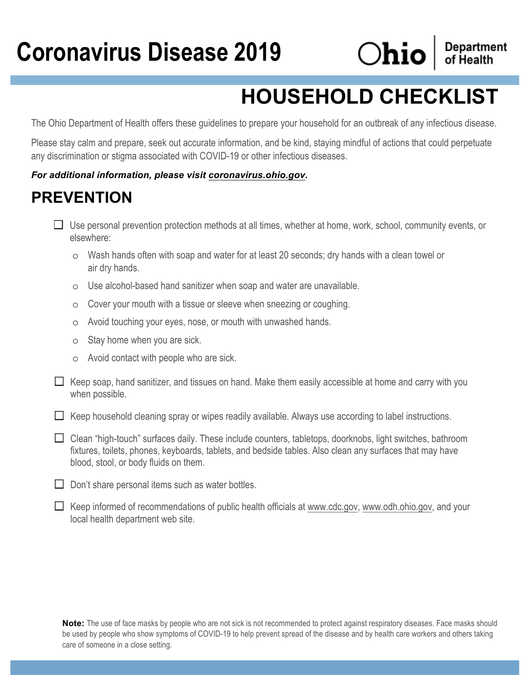# **Coronavirus Disease 2019**



**Department**<br>of Health

## **HOUSEHOLD CHECKLIST**

The Ohio Department of Health offers these guidelines to prepare your household for an outbreak of any infectious disease.

Please stay calm and prepare, seek out accurate information, and be kind, staying mindful of actions that could perpetuate any discrimination or stigma associated with COVID-19 or other infectious diseases.

#### *For additional information, please visit coronavirus.ohio.gov.*

## **PREVENTION**

| $\Box$ Use personal prevention protection methods at all times, whether at home, work, school, community events, or |  |
|---------------------------------------------------------------------------------------------------------------------|--|
| elsewhere:                                                                                                          |  |

- o Wash hands often with soap and water for at least 20 seconds; dry hands with a clean towel or air dry hands.
- o Use alcohol-based hand sanitizer when soap and water are unavailable.
- o Cover your mouth with a tissue or sleeve when sneezing or coughing.
- o Avoid touching your eyes, nose, or mouth with unwashed hands.
- o Stay home when you are sick.
- o Avoid contact with people who are sick.
- $\Box$  Keep soap, hand sanitizer, and tissues on hand. Make them easily accessible at home and carry with you when possible.
- $\Box$  Keep household cleaning spray or wipes readily available. Always use according to label instructions.
- $\Box$  Clean "high-touch" surfaces daily. These include counters, tabletops, doorknobs, light switches, bathroom fixtures, toilets, phones, keyboards, tablets, and bedside tables. Also clean any surfaces that may have blood, stool, or body fluids on them.
- $\Box$  Don't share personal items such as water bottles.
- $\Box$  Keep informed of recommendations of public health officials at www.cdc.gov, www.odh.ohio.gov, and your local health department web site.

**Note:** The use of face masks by people who are not sick is not recommended to protect against respiratory diseases. Face masks should be used by people who show symptoms of COVID-19 to help prevent spread of the disease and by health care workers and others taking care of someone in a close setting.